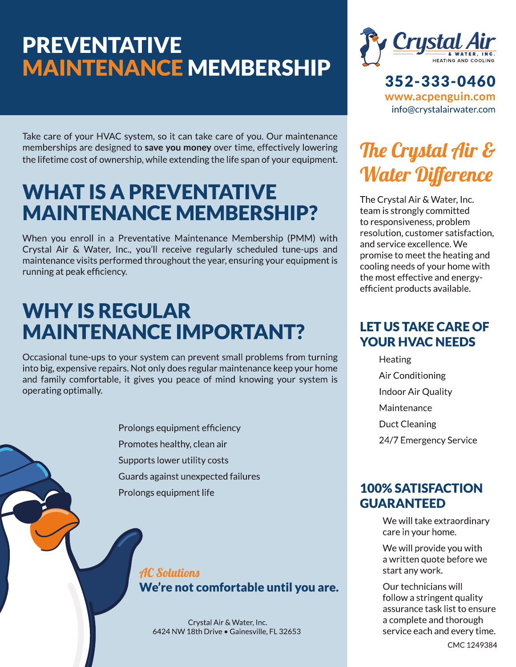# **PREVENTATIVE MAINTENANCE MEMBERSHIP**

Take care of your HVAC system, so it can take care of you. Our maintenance memberships are designed to save you money over time, effectively lowering the lifetime cost of ownership, while extending the life span of your equipment.

# **WHAT IS A PREVENTATIVE MAINTENANCE MEMBERSHIP?**

When you enroll in a Preventative Maintenance Membership (PMM) with Crystal Air & Water, Inc., you'll receive regularly scheduled tune-ups and maintenance visits performed throughout the year, ensuring your equipment is running at peak efficiency.

# **WHY IS REGULAR MAINTENANCE IMPORTANT?**

Occasional tune-ups to your system can prevent small problems from turning into big, expensive repairs. Not only does regular maintenance keep your home and family comfortable, it gives you peace of mind knowing your system is operating optimally.

> Prolongs equipment efficiency Promotes healthy, clean air Supports lower utility costs Guards against unexpected failures Prolongs equipment life

### **AC Solutions** We're not comfortable until you are.

Crystal Air & Water, Inc. 6424 NW 18th Drive . Gainesville, FL 32653



352-333-0460 www.acpenguin.com info@crystalairwater.com

# The Crystal Air & **Water Difference**

The Crystal Air & Water, Inc. team is strongly committed to responsiveness, problem resolution, customer satisfaction. and service excellence. We promise to meet the heating and cooling needs of your home with the most effective and energyefficient products available.

## **LET US TAKE CARE OF YOUR HVAC NEEDS**

Heating Air Conditioning **Indoor Air Quality** Maintenance **Duct Cleaning** 24/7 Emergency Service

## **100% SATISFACTION GUARANTEED**

We will take extraordinary care in your home.

We will provide you with a written quote before we start any work.

Our technicians will follow a stringent quality assurance task list to ensure a complete and thorough service each and every time.